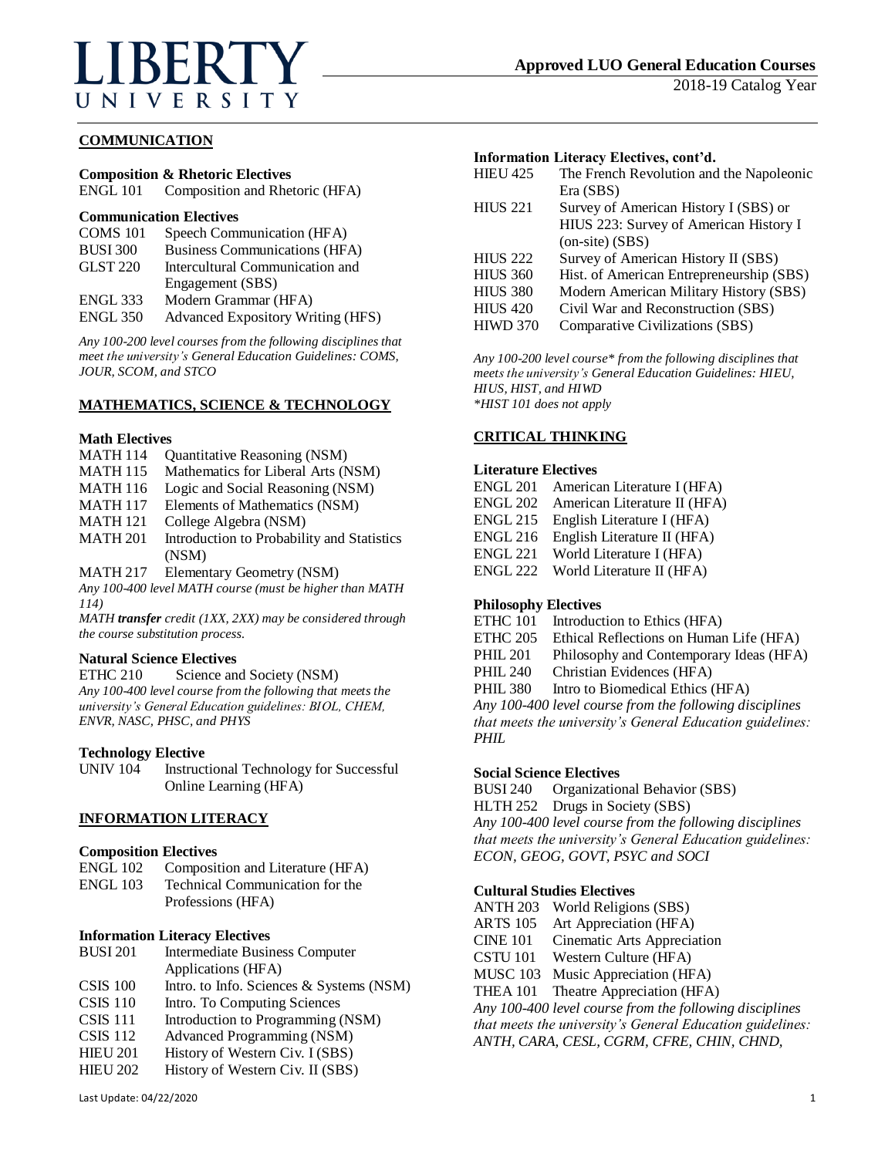# **BERT** UNIVERSITY

2018-19 Catalog Year

# **COMMUNICATION**

# **Composition & Rhetoric Electives**

ENGL 101 Composition and Rhetoric (HFA)

## **Communication Electives**

| COMS 101        | Speech Communication (HFA)        |
|-----------------|-----------------------------------|
| <b>BUSI 300</b> | Business Communications (HFA)     |
| GLST 220        | Intercultural Communication and   |
|                 | Engagement (SBS)                  |
| <b>ENGL 333</b> | Modern Grammar (HFA)              |
| <b>ENGL 350</b> | Advanced Expository Writing (HFS) |

*Any 100-200 level courses from the following disciplines that meet the university's General Education Guidelines: COMS, JOUR, SCOM, and STCO*

## **MATHEMATICS, SCIENCE & TECHNOLOGY**

#### **Math Electives**

- MATH 114 Quantitative Reasoning (NSM)
- MATH 115 Mathematics for Liberal Arts (NSM)
- MATH 116 Logic and Social Reasoning (NSM)
- MATH 117 Elements of Mathematics (NSM)
- MATH 121 College Algebra (NSM)
- MATH 201 Introduction to Probability and Statistics (NSM)

MATH 217 Elementary Geometry (NSM)

*Any 100-400 level MATH course (must be higher than MATH 114)*

*MATH transfer credit (1XX, 2XX) may be considered through the course substitution process.*

## **Natural Science Electives**

ETHC 210 Science and Society (NSM) *Any 100-400 level course from the following that meets the university's General Education guidelines: BIOL, CHEM, ENVR, NASC, PHSC, and PHYS*

## **Technology Elective**

UNIV 104 Instructional Technology for Successful Online Learning (HFA)

## **INFORMATION LITERACY**

#### **Composition Electives**

| ENGL 102 | Composition and Literature (HFA) |
|----------|----------------------------------|
| ENGL 103 | Technical Communication for the  |
|          | Professions (HFA)                |

#### **Information Literacy Electives**

| <b>BUSI 201</b> | Intermediate Business Computer             |
|-----------------|--------------------------------------------|
|                 | Applications (HFA)                         |
| $CSIS$ 100      | Intro. to Info. Sciences $&$ Systems (NSM) |
| $CSIS$ 110      | Intro. To Computing Sciences               |

- CSIS 111 Introduction to Programming (NSM)
- CSIS 112 Advanced Programming (NSM)
- 
- HIEU 201 History of Western Civ. I (SBS)<br>HIEU 202 History of Western Civ. II (SBS) History of Western Civ. II (SBS)

# **Information Literacy Electives, cont'd.**

| <b>HIEU 425</b> | The French Revolution and the Napoleonic |
|-----------------|------------------------------------------|
|                 | Era (SBS)                                |
| <b>HIUS 221</b> | Survey of American History I (SBS) or    |
|                 | HIUS 223: Survey of American History I   |
|                 | $(on-site) (SBS)$                        |
| <b>HIUS 222</b> | Survey of American History II (SBS)      |
| <b>HIUS 360</b> | Hist. of American Entrepreneurship (SBS) |
| <b>HIUS 380</b> | Modern American Military History (SBS)   |
| <b>HIUS 420</b> | Civil War and Reconstruction (SBS)       |
| <b>HIWD 370</b> | Comparative Civilizations (SBS)          |
|                 |                                          |

*Any 100-200 level course\* from the following disciplines that meets the university's General Education Guidelines: HIEU, HIUS, HIST, and HIWD \*HIST 101 does not apply*

### **CRITICAL THINKING**

#### **Literature Electives**

- ENGL 201 American Literature I (HFA)
- ENGL 202 American Literature II (HFA)
- ENGL 215 English Literature I (HFA)
- ENGL 216 English Literature II (HFA)
- ENGL 221 World Literature I (HFA)
- ENGL 222 World Literature II (HFA)

## **Philosophy Electives**

- ETHC 101 Introduction to Ethics (HFA)
- ETHC 205 Ethical Reflections on Human Life (HFA)
- PHIL 201 Philosophy and Contemporary Ideas (HFA)
- PHIL 240 Christian Evidences (HFA)
- PHIL 380 Intro to Biomedical Ethics (HFA)

*Any 100-400 level course from the following disciplines that meets the university's General Education guidelines: PHIL*

#### **Social Science Electives**

BUSI 240 Organizational Behavior (SBS) HLTH 252 Drugs in Society (SBS) *Any 100-400 level course from the following disciplines that meets the university's General Education guidelines: ECON, GEOG, GOVT, PSYC and SOCI*

#### **Cultural Studies Electives**

ANTH 203 World Religions (SBS)

- ARTS 105 Art Appreciation (HFA)
- CINE 101 Cinematic Arts Appreciation
- CSTU 101 Western Culture (HFA)
- MUSC 103 Music Appreciation (HFA)
- THEA 101 Theatre Appreciation (HFA)

*Any 100-400 level course from the following disciplines that meets the university's General Education guidelines: ANTH, CARA, CESL, CGRM, CFRE, CHIN, CHND,*